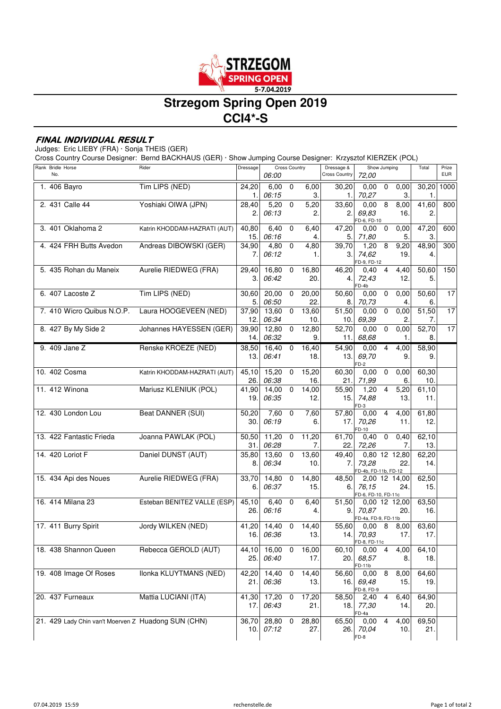

# **Strzegom Spring Open 2019 CCI4\*-S**

### **FINAL INDIVIDUAL RESULT**

Judges: Eric LIEBY (FRA) · Sonja THEIS (GER)

Cross Country Course Designer: Bernd BACKHAUS (GER) · Show Jumping Course Designer: Krzysztof KIERZEK (POL)

| Rank Bridle Horse<br>No. |                                                     | Rider                        | Dressage      | <b>Cross Country</b><br>06:00 |             | Dressage &<br><b>Cross Country</b> | Show Jumping<br>72,00 |                                                | Total                         | Prize<br><b>EUR</b> |      |
|--------------------------|-----------------------------------------------------|------------------------------|---------------|-------------------------------|-------------|------------------------------------|-----------------------|------------------------------------------------|-------------------------------|---------------------|------|
|                          | 1. 406 Bayro                                        | Tim LIPS (NED)               | 24,20<br>1.   | 6,00<br>06:15                 | $\mathbf 0$ | 6,00<br>3.                         | 30,20<br>1.           | 0,00<br>$\mathbf 0$<br>70,27                   | 0,00<br>3.                    | 30,20<br>1.         | 1000 |
|                          | 2. 431 Calle 44                                     | Yoshiaki OIWA (JPN)          | 28,40<br>2.   | 5,20<br>06:13                 | 0           | 5,20<br>2.                         | 33,60<br>2.           | 8<br>0,00<br>69,83<br>FD-6, FD-10              | 8,00<br>16.                   | 41,60<br>2.         | 800  |
|                          | 3. 401 Oklahoma 2                                   | Katrin KHODDAM-HAZRATI (AUT) | 40,80<br>15.  | 6,40<br>06:16                 | 0           | 6,40<br>4.                         | 47,20<br>5.           | 0,00<br>0<br>71,80                             | 0,00<br>5.                    | 47,20<br>3.         | 600  |
|                          | 4. 424 FRH Butts Avedon                             | Andreas DIBOWSKI (GER)       | 34,90<br>7.   | 4,80<br>06:12                 | $\mathbf 0$ | 4,80<br>1.                         | 39,70<br>3.           | 1,20<br>8<br>74,62<br>FD-9, FD-12              | 9,20<br>19.                   | 48,90<br>4.         | 300  |
|                          | 5. 435 Rohan du Maneix                              | Aurelie RIEDWEG (FRA)        | 29,40<br>З.   | 16,80<br>06:42                | $\mathbf 0$ | 16,80<br>20.                       | 46,20<br>4.           | $\overline{4}$<br>0,40<br>72,43<br>FD-4b       | 4,40<br>12.                   | 50.60<br>5.         | 150  |
|                          | 6. 407 Lacoste Z                                    | Tim LIPS (NED)               | 30,60<br>5.   | 20,00<br>06:50                | 0           | 20,00<br>22                        | 50,60<br>8.           | 0<br>0,00<br>70,73                             | 0,00<br>4.                    | 50,60<br>6.         | 17   |
|                          | 7. 410 Wicro Quibus N.O.P.                          | Laura HOOGEVEEN (NED)        | 37,90<br>12.  | 13,60<br>06:34                | 0           | 13,60<br>10.                       | 51,50<br>10.          | 0,00<br>$\pmb{0}$<br>69,39                     | 0,00<br>2.                    | 51,50<br>7.         | 17   |
|                          | 8. 427 By My Side 2                                 | Johannes HAYESSEN (GER)      | 39,90<br>14.  | 12,80<br>06:32                | 0           | 12,80<br>9.                        | 52,70<br>11.          | 0,00<br>0<br>68,68                             | 0,00<br>1.                    | 52,70<br>8.         | 17   |
|                          | 9. 409 Jane Z                                       | Renske KROEZE (NED)          | 38,50<br>13.  | 16,40<br>06:41                | 0           | 16,40<br>18.                       | 54,90<br>13.          | 0,00<br>69,70<br>$FD-2$                        | 4,00<br>4<br>9.               | 58,90<br>9.         |      |
|                          | 10. 402 Cosma                                       | Katrin KHODDAM-HAZRATI (AUT) | 45,10<br>26.  | 15,20<br>06:38                | 0           | 15,20<br>16.                       | 60,30<br>21.          | 0,00<br>$\mathbf 0$<br>71,99                   | 0,00<br>6.                    | 60,30<br>10.        |      |
|                          | 11. 412 Winona                                      | Mariusz KLENIUK (POL)        | 41,90<br>19.  | 14,00<br>06:35                | 0           | 14,00<br>12.                       | 55,90<br>15.          | 1,20<br>4<br>74,88<br>FD-3                     | 5,20<br>13.                   | 61,10<br>11.        |      |
|                          | 12. 430 London Lou                                  | <b>Beat DANNER (SUI)</b>     | 50,20<br>30.  | 7,60<br>06:19                 | 0           | 7,60<br>6.                         | 57,80<br>17.          | 0,00<br>70,26<br>$FD-10$                       | 4<br>4,00<br>11.              | 61,80<br>12.        |      |
|                          | 13. 422 Fantastic Frieda                            | Joanna PAWLAK (POL)          | 50,50<br>31.  | 11,20<br>06:28                | $\mathbf 0$ | 11,20<br>7.                        | 61,70<br>22.          | 0,40<br>$\mathbf 0$<br>72,26                   | 0,40<br>7.                    | 62,10<br>13.        |      |
|                          | 14. 420 Loriot F                                    | Daniel DUNST (AUT)           | 35,80<br>8.   | 13,60<br>06:34                | 0           | 13,60<br>10.                       | 49,40<br>7.           | 0,80 12 12,80<br>73,28<br>FD-4b, FD-11b, FD-12 | 22.                           | 62,20<br>14.        |      |
|                          | 15. 434 Api des Noues                               | Aurelie RIEDWEG (FRA)        | 33,70<br>6.   | 14,80<br>06:37                | 0           | 14,80<br>15.                       | 48,50<br>6.           | 2,00 12 14,00<br>76.15<br>FD-6, FD-10, FD-11c  | 24.                           | 62,50<br>15.        |      |
|                          | 16. 414 Milana 23                                   | Esteban BENITEZ VALLE (ESP)  | 45,10<br>26.  | 6,40<br>06:16                 | $\mathbf 0$ | 6,40<br>4.                         | 51,50<br>9.           | 0,00 12 12,00<br>70,87<br>FD-4a, FD-9, FD-11b  | 20.                           | 63,50<br>16.        |      |
|                          | 17. 411 Burry Spirit                                | Jordy WILKEN (NED)           | 41,20<br>16.  | 14,40<br>06:36                | 0           | 14,40<br>13.                       | 55,60<br>14.          | 0,00<br>8<br>70,93<br>FD-8, FD-11c             | 8,00<br>17.                   | 63,60<br>17.        |      |
|                          | 18. 438 Shannon Queen                               | Rebecca GEROLD (AUT)         | 44,10<br>25.I | 16,00<br>06:40                | 0           | 16,00<br>17.                       | 60,10<br>20.          | 0,004<br>68,57<br>FD-11b                       | 4,00<br>8.                    | 64,10<br>18.        |      |
|                          | 19. 408 Image Of Roses                              | Ilonka KLUYTMANS (NED)       | 42,20<br>21.I | 14,40<br>06:36                | $\mathbf 0$ | 14,40<br>13.                       | 56,60<br>16.          | 8<br>0,00<br>69,48<br>FD-8, FD-9               | 8,00<br>15.                   | 64,60<br>19.        |      |
|                          | 20. 437 Furneaux                                    | Mattia LUCIANI (ITA)         | 41,30<br>17.  | 17,20<br>06:43                | 0           | 17,20<br>21.                       | 58,50                 | 2,40<br>18. 77,30<br>FD-4a                     | 4<br>6,40<br>14.              | 64,90<br>20.        |      |
|                          | 21. 429 Lady Chin van't Moerven Z Huadong SUN (CHN) |                              | 36,70<br>10.1 | 28,80<br>07:12                | 0           | 28,80<br>27.                       | 65,50<br>26.          | 0,00<br>70,04<br>FD-8                          | $\overline{4}$<br>4,00<br>10. | 69,50<br>21.        |      |